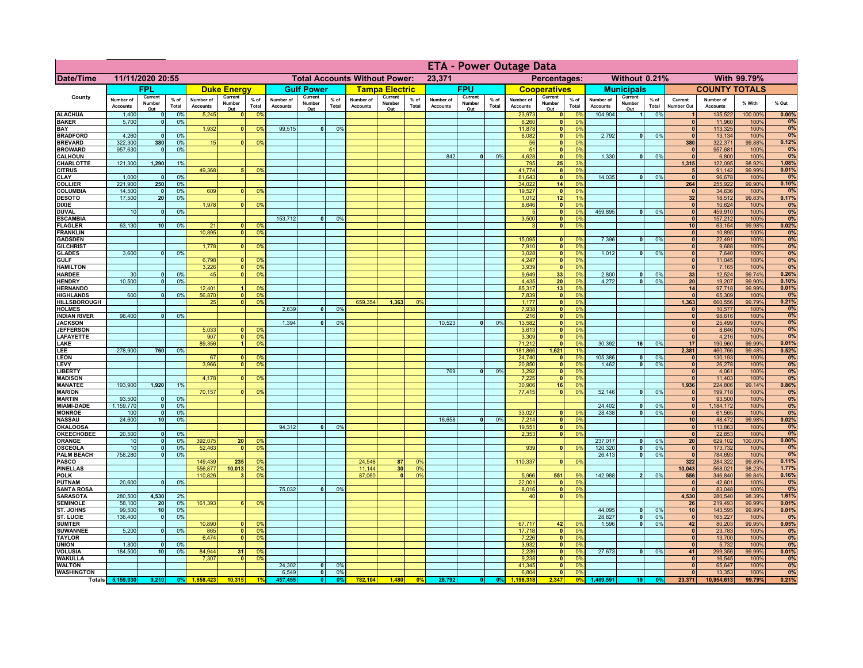|                                      |                              |                                    |                 |                              |                          |                                  |                              |                          | <b>ETA - Power Outage Data</b> |                                      |                          |                |                              |                          |               |                              |                           |                       |                              |                          |                 |                              |                              |                  |                |
|--------------------------------------|------------------------------|------------------------------------|-----------------|------------------------------|--------------------------|----------------------------------|------------------------------|--------------------------|--------------------------------|--------------------------------------|--------------------------|----------------|------------------------------|--------------------------|---------------|------------------------------|---------------------------|-----------------------|------------------------------|--------------------------|-----------------|------------------------------|------------------------------|------------------|----------------|
| <b>Date/Time</b>                     |                              | 11/11/2020 20:55                   |                 |                              |                          |                                  |                              |                          |                                | <b>Total Accounts Without Power:</b> |                          |                | 23,371                       |                          |               |                              | Percentages:              |                       |                              | Without 0.21%            |                 |                              |                              | With 99.79%      |                |
|                                      |                              | FPL                                |                 |                              | <b>Duke Energy</b>       |                                  |                              | <b>Gulf Power</b>        |                                |                                      | <b>Tampa Electric</b>    |                |                              | <b>FPU</b>               |               |                              | <b>Cooperatives</b>       |                       |                              | <b>Municipals</b>        |                 |                              | <b>COUNTY TOTALS</b>         |                  |                |
| County                               | Number of<br><b>Accounts</b> | Current<br>Number<br>Out           | $%$ of<br>Total | Number of<br><b>Accounts</b> | Current<br>Number<br>Out | $%$ of<br>Total                  | Number of<br><b>Accounts</b> | Current<br>Number<br>Out | $%$ of<br>Total                | Number of<br><b>Accounts</b>         | Current<br>Number<br>Out | % of<br>Total  | Number of<br><b>Accounts</b> | Current<br>Number<br>Out | % of<br>Total | Number of<br><b>Accounts</b> | Current<br>Number<br>Out  | $%$ of<br>Total       | Number of<br><b>Accounts</b> | Current<br>Number<br>Out | $%$ of<br>Total | Current<br><b>Number Out</b> | Number of<br><b>Accounts</b> | % With           | % Out          |
| <b>ALACHUA</b>                       | 1,400                        | $\mathbf{0}$                       | 0%              | 5,245                        | 0                        | 0 <sup>9</sup>                   |                              |                          |                                |                                      |                          |                |                              |                          |               | 23,973                       | 0                         | 0%                    | 104,904                      | $\overline{1}$           | 0%              | $\mathbf{1}$                 | 135,522                      | 100.00%          | 0.00%          |
| <b>BAKER</b><br>BAY                  | 5,700                        | 0                                  | 0%              | 1,932                        | $\mathbf{0}$             | 0 <sup>9</sup>                   | 99,515                       | $\overline{0}$           | 0%                             |                                      |                          |                |                              |                          |               | 6,260<br>11,878              | 0 <br> 0                  | 0 <sup>9</sup><br>0%  |                              |                          |                 | $\mathbf{0}$<br>$\mathbf{0}$ | 11,960<br>113,325            | 100%<br>100%     | 0%<br>0%       |
| <b>BRADFORD</b>                      | 4,260                        | $\mathbf{0}$                       | 0%              |                              |                          |                                  |                              |                          |                                |                                      |                          |                |                              |                          |               | 6,082                        | $\mathbf{0}$              | 0%                    | 2,792                        | 0                        | 0%              | $\Omega$                     | 13,134                       | 100%             | 0%             |
| <b>BREVARD</b>                       | 322,300                      | 380<br>$\mathbf{0}$                | 0%              | 15                           | 0                        | 0%                               |                              |                          |                                |                                      |                          |                |                              |                          |               | 56                           | 0                         | 0%                    |                              |                          |                 | 380<br>$\mathbf{0}$          | 322,371                      | 99.88%           | 0.12%          |
| <b>BROWARD</b><br><b>CALHOUN</b>     | 957,630                      |                                    | 0%              |                              |                          |                                  |                              |                          |                                |                                      |                          |                | 842                          | $\mathbf{0}$             | 0%            | 51<br>4,628                  | 0 <br> 0                  | 0%<br>0%              | 1,330                        | -ol                      | 0%              | $\mathbf{0}$                 | 957,681<br>6,800             | 100%<br>100%     | 0%<br>0%       |
| CHARLOTTE                            | 121,300                      | 1,290                              | 1%              |                              |                          |                                  |                              |                          |                                |                                      |                          |                |                              |                          |               | 795                          | 25                        | 3%                    |                              |                          |                 | 1,315                        | 122,095                      | 98.92%           | 1.08%          |
| <b>CITRUS</b><br><b>CLAY</b>         | 1,000                        | $\mathbf{0}$                       | 0%              | 49,368                       |                          | 0 <sup>9</sup>                   |                              |                          |                                |                                      |                          |                |                              |                          |               | 41,774<br>81,643             | 0 <br> 0                  | 0%<br>0%              | 14,035                       | -ol                      | 0%              | 5<br>$\mathbf{0}$            | 91,142<br>96,678             | 99.99%<br>100%   | 0.01%<br>0%    |
| <b>COLLIER</b>                       | 221,900                      | 250                                | 0 <sup>9</sup>  |                              |                          |                                  |                              |                          |                                |                                      |                          |                |                              |                          |               | 34,022                       | 14                        | 0%                    |                              |                          |                 | 264                          | 255,922                      | 99.90%           | 0.10%          |
| <b>COLUMBIA</b>                      | 14,500                       | $\mathbf{0}$                       | 0%              | 609                          |                          | 0 <sup>9</sup>                   |                              |                          |                                |                                      |                          |                |                              |                          |               | 19,527                       | 0                         | 0%                    |                              |                          |                 | $\mathbf{0}$                 | 34,636                       | 100%             | 0%             |
| <b>DESOTO</b><br><b>DIXIE</b>        | 17,500                       | 20                                 | 0%              | 1,978                        | $\mathbf{0}$             | 0 <sup>9</sup>                   |                              |                          |                                |                                      |                          |                |                              |                          |               | 1,012<br>8,646               | 12<br> 0                  | 19<br>0%              |                              |                          |                 | 32<br>$\mathbf{0}$           | 18,512<br>10,624             | 99.83%<br>100%   | 0.17%<br>0%    |
| <b>DUVAL</b>                         | 10                           | $\mathbf 0$                        | 0%              |                              |                          |                                  |                              |                          |                                |                                      |                          |                |                              |                          |               |                              | 0                         | 0%                    | 459,895                      | 0                        | 0%              | $\mathbf{0}$                 | 459,910                      | 100%             | 0%             |
| <b>ESCAMBIA</b>                      |                              |                                    |                 |                              |                          |                                  | 153,712                      | $\mathbf{0}$             | 0 <sup>0</sup>                 |                                      |                          |                |                              |                          |               | 3,500                        | 0                         | 0%                    |                              |                          |                 | $\mathbf{0}$                 | 157,212                      | 100%             | 0%             |
| <b>FLAGLER</b><br><b>FRANKLIN</b>    | 63,130                       | 10                                 | 0%              | 21<br>10,895                 | $\mathbf{0}$<br>$\Omega$ | 0 <sup>9</sup><br>0 <sup>9</sup> |                              |                          |                                |                                      |                          |                |                              |                          |               | $\mathbf{B}$                 | 0                         | 0%                    |                              |                          |                 | 10<br> 0                     | 63,154<br>10,895             | 99.98%<br>100%   | 0.02%<br>0%    |
| <b>GADSDEN</b>                       |                              |                                    |                 |                              |                          |                                  |                              |                          |                                |                                      |                          |                |                              |                          |               | 15.095                       | 0                         | 0%                    | 7,396                        | - o l                    | 0%              | 0                            | 22,491                       | 100%             | 0%             |
| <b>GILCHRIST</b>                     |                              |                                    |                 | 1.778                        | $\Omega$                 | 0 <sup>9</sup>                   |                              |                          |                                |                                      |                          |                |                              |                          |               | 7,910                        | $\overline{\mathbf{0}}$   | 0%                    |                              |                          |                 | $\overline{0}$               | 9,688                        | 100%             | 0%             |
| <b>GLADES</b><br><b>GULF</b>         | 3,600                        | 0                                  | 0%              | 6,798                        | 0                        | 0 <sup>9</sup>                   |                              |                          |                                |                                      |                          |                |                              |                          |               | 3,028<br>4,247               | 0 <br> 0                  | 0%<br>0%              | 1,012                        | $\overline{\mathbf{0}}$  | 0%              | 0 <br> 0                     | 7,640<br>11,045              | 100%<br>100%     | 0%<br>0%       |
| <b>HAMILTON</b>                      |                              |                                    |                 | 3,226                        | 0                        | 0 <sup>9</sup>                   |                              |                          |                                |                                      |                          |                |                              |                          |               | 3,939                        | 0                         | 0%                    |                              |                          |                 | 0                            | 7,165                        | 100%             | 0%             |
| <b>HARDEE</b>                        | 30                           | $\Omega$                           | 0%              | 45                           | $\overline{\mathbf{0}}$  | 0%                               |                              |                          |                                |                                      |                          |                |                              |                          |               | 9,649                        | 33                        | 0%                    | 2,800                        | $\mathbf{0}$             | 0%              | 33                           | 12,524                       | 99.74%           | 0.26%          |
| <b>HENDRY</b><br><b>HERNANDO</b>     | 10.500                       | $\overline{0}$                     | 0 <sup>9</sup>  | 12,401                       | $\blacksquare$           | 0 <sup>9</sup>                   |                              |                          |                                |                                      |                          |                |                              |                          |               | 4,435<br>85,317              | 20<br>13                  | 0%<br>0%              | 4.272                        | $\overline{0}$           | 0%              | 20<br>14                     | 19,207<br>97,718             | 99.90%<br>99.99% | 0.10%<br>0.01% |
| <b>HIGHLANDS</b>                     | 600                          | $\Omega$                           | 0 <sup>9</sup>  | 56,870                       | $\overline{\mathbf{0}}$  | 0 <sup>9</sup>                   |                              |                          |                                |                                      |                          |                |                              |                          |               | 7,839                        | 0                         | 0%                    |                              |                          |                 | $\overline{0}$               | 65,309                       | 100%             | 0%             |
| HILLSBOROUGH                         |                              |                                    |                 | 25                           | $\mathbf{0}$             | 0 <sup>9</sup>                   |                              |                          |                                | 659,354                              | 1,363                    | 0 <sup>9</sup> |                              |                          |               | 1,177                        | 0                         | 0%                    |                              |                          |                 | 1,363                        | 660,556                      | 99.79%           | 0.21%          |
| <b>HOLMES</b><br><b>INDIAN RIVER</b> | 98,400                       |                                    | 0%              |                              |                          |                                  | 2,639                        |                          | 0%                             |                                      |                          |                |                              |                          |               | 7,938                        | 0 <br> 0                  | 0%<br>0%              |                              |                          |                 | $\Omega$<br>$\mathbf{0}$     | 10,577<br>98,616             | 100%<br>100%     | 0%<br>0%       |
| <b>JACKSON</b>                       |                              |                                    |                 |                              |                          |                                  | 1,394                        |                          | 0%                             |                                      |                          |                | 10,523                       | $\mathbf{0}$             | 0%            | 216<br>13,582                | 0                         | 0%                    |                              |                          |                 | 0                            | 25,499                       | 100%             | 0%             |
| <b>JEFFERSON</b>                     |                              |                                    |                 | 5,033                        | n١                       | 0 <sup>9</sup>                   |                              |                          |                                |                                      |                          |                |                              |                          |               | 3,613                        | 0                         | 0%                    |                              |                          |                 | 0                            | 8,646                        | 100%             | 0%             |
| <b>LAFAYETTE</b><br>LAKE             |                              |                                    |                 | 907<br>89,356                | $\mathbf{0}$<br>11       | 0 <sup>9</sup><br>0 <sup>9</sup> |                              |                          |                                |                                      |                          |                |                              |                          |               | 3,309<br>71,212              | 0 <br> 0                  | 0%<br>0%              | 30,392                       | 16                       | 0%              | 0 <br>17                     | 4,216<br>190,960             | 100%<br>99.99%   | 0%<br>0.01%    |
| LEE                                  | 278,900                      | 760                                | 0%              |                              |                          |                                  |                              |                          |                                |                                      |                          |                |                              |                          |               | 181,866                      | 1,621                     | 1%                    |                              |                          |                 | 2,381                        | 460,766                      | 99.48%           | 0.52%          |
| <b>LEON</b>                          |                              |                                    |                 | 67                           | $\mathbf{0}$             | 0 <sup>9</sup>                   |                              |                          |                                |                                      |                          |                |                              |                          |               | 24,740                       | $\mathbf{0}$              | 0%                    | 105,386                      | - O I                    | 0%              | 0                            | 130,193                      | 100%             | 0%             |
| LEVY<br><b>LIBERTY</b>               |                              |                                    |                 | 3,966                        | $\overline{0}$           | 0 <sup>9</sup>                   |                              |                          |                                |                                      |                          |                | 769                          | 0                        | 0%            | 20,850<br>3,292              | $\mathbf{0}$<br> 0        | 0%<br>0%              | 1,462                        | 0                        | 0%              | 0 <br> 0                     | 26,278<br>4,061              | 100%<br>100%     | 0%<br>0%       |
| <b>MADISON</b>                       |                              |                                    |                 | 4,178                        | $\Omega$                 | 0 <sup>9</sup>                   |                              |                          |                                |                                      |                          |                |                              |                          |               | 7,225                        | 0                         | 0%                    |                              |                          |                 | 0                            | 11,403                       | 100%             | 0%             |
| <b>MANATEE</b>                       | 193,900                      | 1,920                              | 1%              |                              |                          |                                  |                              |                          |                                |                                      |                          |                |                              |                          |               | 30,906                       | 16                        | 0%                    |                              |                          |                 | 1,936                        | 224,806                      | 99.14%           | 0.86%          |
| <b>MARION</b><br><b>MARTIN</b>       | 93,500                       | 0                                  | 0%              | 70,157                       | $\Omega$                 | 0%                               |                              |                          |                                |                                      |                          |                |                              |                          |               | 77,415                       | 0                         | 0%                    | 52,146                       | 0                        | 0%              | 0 <br> 0                     | 199,718<br>93,500            | 100%<br>100%     | 0%<br>0%       |
| <b>MIAMI-DADE</b>                    | 1,159,770                    | 0                                  | 0%              |                              |                          |                                  |                              |                          |                                |                                      |                          |                |                              |                          |               |                              |                           |                       | 24,402                       | 0                        | 0%              | 0                            | 1,184,172                    | 100%             | 0%             |
| <b>MONROE</b>                        | 100                          | 0                                  | 0%              |                              |                          |                                  |                              |                          |                                |                                      |                          |                |                              |                          |               | 33,027                       | 0                         | $\Omega$ <sup>9</sup> | 28,438                       | - O I                    | 0%              | 0                            | 61,565                       | 100%             | 0%             |
| <b>NASSAU</b><br><b>OKALOOSA</b>     | 24,600                       | 10                                 | 0%              |                              |                          |                                  | 94,312                       | 0                        | 0%                             |                                      |                          |                | 16,658                       | 0                        | 0%            | 7,214<br>19,551              | 0 <br> 0                  | 0%<br>0%              |                              |                          |                 | 10<br> 0                     | 48,472<br>113,863            | 99.98%<br>100%   | 0.02%<br>0%    |
| <b>OKEECHOBEE</b>                    | 20,500                       | - O I                              | 0%              |                              |                          |                                  |                              |                          |                                |                                      |                          |                |                              |                          |               | 2,353                        | 0                         | 0%                    |                              |                          |                 | 0                            | 22,853                       | 100%             | 0%             |
| <b>ORANGE</b>                        | 10                           | 0                                  | 0%              | 392,075                      | 20 <sup>1</sup>          | 0 <sup>9</sup>                   |                              |                          |                                |                                      |                          |                |                              |                          |               |                              |                           |                       | 237,017                      | 0                        | 0%              | 20 <sub>l</sub>              | 629,102                      | 100.00%          | 0.00%          |
| <b>OSCEOLA</b><br><b>PALM BEACH</b>  | 10<br>758,280                | - O I<br>$\overline{\mathbf{0}}$   | 0%<br>0%        | 52,463                       | $\Omega$                 | 0 <sup>9</sup>                   |                              |                          |                                |                                      |                          |                |                              |                          |               | 939                          | 0                         | 0%                    | 120,320<br>26,413            | 0 <br>- o l              | 0%<br>0%        | 0 <br> 0                     | 173,732<br>784,693           | 100%<br>100%     | 0%<br>0%       |
| <b>PASCO</b>                         |                              |                                    |                 | 149,439                      | 235                      | 0 <sup>9</sup>                   |                              |                          |                                | 24,546                               | 87                       | 0 <sup>9</sup> |                              |                          |               | 110,337                      | 0                         | 0%                    |                              |                          |                 | 322                          | 284,322                      | 99.89%           | 0.11%          |
| <b>PINELLAS</b>                      |                              |                                    |                 | 556,877                      | 10,013                   | 2 <sup>0</sup>                   |                              |                          |                                | 11,144                               | 30 <sup>1</sup>          | 0 <sup>9</sup> |                              |                          |               |                              |                           |                       |                              |                          |                 | 10,043                       | 568,021                      | 98.23%           | 1.77%          |
| <b>POLK</b><br><b>PUTNAM</b>         | 20,600                       | 0                                  | 0%              | 110,826                      | з                        | 0 <sup>9</sup>                   |                              |                          |                                | 87,060                               | $\overline{0}$           | 0 <sup>9</sup> |                              |                          |               | 5,966                        | 551                       | <b>Q°</b><br>0%       | 142,988                      | 2 <sup>1</sup>           | 0%              | 556<br>$\mathbf{0}$          | 346,840                      | 99.84%<br>100%   | 0.16%<br>0%    |
| <b>SANTA ROSA</b>                    |                              |                                    |                 |                              |                          |                                  | 75,032                       | $\mathbf{0}$             | 0%                             |                                      |                          |                |                              |                          |               | 22,001<br>8,016              | $\bullet$<br>$\mathbf{0}$ | 0%                    |                              |                          |                 | $\mathbf{0}$                 | 42,601<br>83,048             | 100%             | 0%             |
| <b>SARASOTA</b>                      | 280,500                      | 4,530                              | 2%              |                              |                          |                                  |                              |                          |                                |                                      |                          |                |                              |                          |               | 40                           | 0                         | 0%                    |                              |                          |                 | 4,530                        | 280,540                      | 98.39%           | 1.61%          |
| <b>SEMINOLE</b><br>ST. JOHNS         | 58,100<br>99,500             | 20 <sup>1</sup><br>10 <sub>1</sub> | 0%<br>0%        | 161,393                      |                          | 0 <sup>9</sup>                   |                              |                          |                                |                                      |                          |                |                              |                          |               |                              |                           |                       | 44,095                       | 0                        | 0%              | 26<br>10                     | 219,493<br>143,595           | 99.99%<br>99.99% | 0.01%<br>0.01% |
| <b>ST. LUCIE</b>                     | 136,400                      | $\mathbf{0}$                       | 0%              |                              |                          |                                  |                              |                          |                                |                                      |                          |                |                              |                          |               |                              |                           |                       | 28,827                       | 0                        | 0%              | $\mathbf{0}$                 | 165,227                      | 100%             | 0%             |
| <b>SUMTER</b>                        |                              |                                    |                 | 10,890                       |                          | 0 <sup>6</sup>                   |                              |                          |                                |                                      |                          |                |                              |                          |               | 67,717<br>17,718             | 42                        | 0 <sup>9</sup>        | 1,596                        | - o l                    | 0%              | 42                           | 80,203                       | 99.95%           | 0.05%          |
| <b>SUWANNEE</b><br><b>TAYLOR</b>     | 5,200                        | $\mathbf{0}$                       | 0%              | 865<br>6,474                 | $\mathbf{0}$<br>$\Omega$ | 0 <sup>9</sup><br>0 <sup>9</sup> |                              |                          |                                |                                      |                          |                |                              |                          |               | 7,226                        | 0 <br> 0                  | 0%<br>0%              |                              |                          |                 | $\mathbf{0}$<br>$\mathbf{0}$ | 23,783<br>13,700             | 100%<br>100%     | 0%<br>0%       |
| <b>UNION</b>                         | 1,800                        | $\mathbf 0$                        | 0%              |                              |                          |                                  |                              |                          |                                |                                      |                          |                |                              |                          |               | 3,932                        | 0                         | 0%                    |                              |                          |                 | $\mathbf{0}$                 | 5,732                        | 100%             | 0%             |
| <b>VOLUSIA</b>                       | 184,500                      | 10 <sub>1</sub>                    | 0%              | 84,944                       | 31                       | 0 <sup>9</sup>                   |                              |                          |                                |                                      |                          |                |                              |                          |               | 2,239                        | 0                         | 0%                    | 27,673                       | 0                        | 0%              | 41                           | 299,356                      | 99.99%           | 0.01%          |
| <b>WAKULLA</b><br><b>WALTON</b>      |                              |                                    |                 | 7,307                        | - O I                    | 0 <sup>9</sup>                   | 24,302                       | 0                        | 0%                             |                                      |                          |                |                              |                          |               | 9,238<br>41,345              | 0 <br> 0                  | 0%<br>0%              |                              |                          |                 | $\mathbf{0}$<br>$\mathbf{0}$ | 16,545<br>65,647             | 100%<br>100%     | 0%<br>0%       |
| <b>WASHINGTON</b>                    |                              |                                    |                 |                              |                          |                                  | 6,549                        | $\overline{\mathbf{0}}$  | 0%                             |                                      |                          |                |                              |                          |               | 6,804                        | $\overline{\mathbf{0}}$   | 0%                    |                              |                          |                 | 0                            | 13,353                       | 100%             | 0%             |
|                                      | Totals 5,159,930             | 9,210                              | 0%              |                              | 10,315                   |                                  | 457,455                      | 0                        | 0 <sup>9</sup>                 | 782,104                              | 1,480                    | 0 <sup>9</sup> | 28,792                       |                          | 0%            | 1.198.318                    | 347                       | 0 <sup>9</sup>        | 1,469,591                    | 19                       |                 | 23,371                       | 10,954,613                   | 99.79%           | 0.21%          |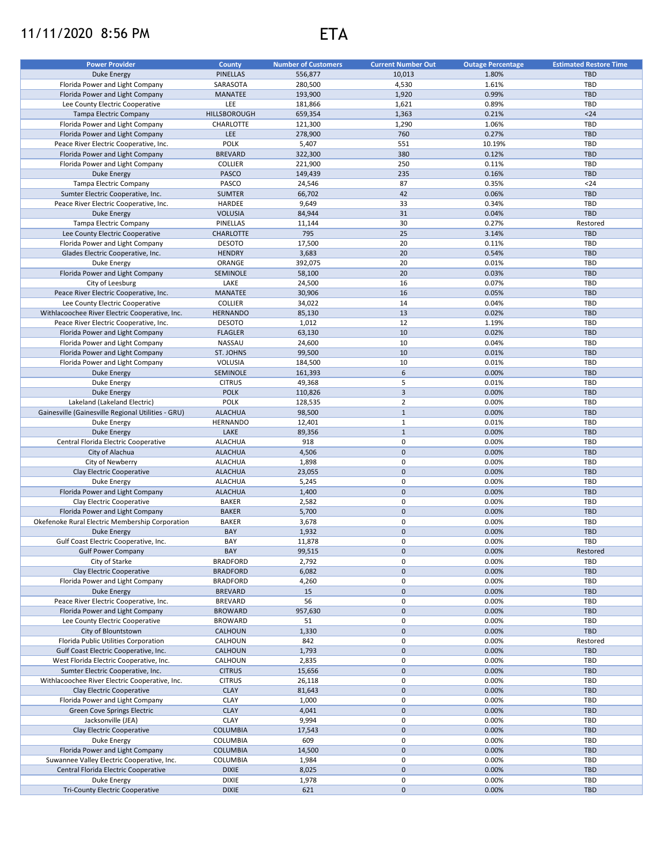## 11/11/2020 8:56 PM ETA



| <b>Power Provider</b>                                                             | County           | <b>Number of Customers</b> | <b>Current Number Out</b> | <b>Outage Percentage</b> | <b>Estimated Restore Time</b> |
|-----------------------------------------------------------------------------------|------------------|----------------------------|---------------------------|--------------------------|-------------------------------|
| <b>Duke Energy</b>                                                                | <b>PINELLAS</b>  | 556,877                    | 10,013                    | 1.80%                    | <b>TBD</b>                    |
| Florida Power and Light Company                                                   | SARASOTA         | 280,500                    | 4,530                     | 1.61%                    | TBD                           |
| Florida Power and Light Company                                                   | <b>MANATEE</b>   | 193,900                    | 1,920                     | 0.99%                    | <b>TBD</b>                    |
| Lee County Electric Cooperative                                                   | LEE              | 181,866                    | 1,621                     | 0.89%                    | TBD                           |
|                                                                                   | HILLSBOROUGH     |                            |                           | 0.21%                    | $24$                          |
| Tampa Electric Company<br>Florida Power and Light Company                         |                  | 659,354                    | 1,363                     |                          |                               |
|                                                                                   | CHARLOTTE        | 121,300                    | 1,290                     | 1.06%                    | TBD                           |
| Florida Power and Light Company                                                   | <b>LEE</b>       | 278,900                    | 760                       | 0.27%                    | <b>TBD</b>                    |
| Peace River Electric Cooperative, Inc.                                            | <b>POLK</b>      | 5,407                      | 551                       | 10.19%                   | TBD                           |
| Florida Power and Light Company                                                   | <b>BREVARD</b>   | 322,300                    | 380                       | 0.12%                    | <b>TBD</b>                    |
| Florida Power and Light Company                                                   | COLLIER          | 221,900                    | 250                       | 0.11%                    | TBD                           |
| <b>Duke Energy</b>                                                                | <b>PASCO</b>     | 149,439                    | 235                       | 0.16%                    | <b>TBD</b>                    |
| Tampa Electric Company                                                            | PASCO            | 24,546                     | 87                        | 0.35%                    | $24$                          |
| Sumter Electric Cooperative, Inc.                                                 | <b>SUMTER</b>    | 66,702                     | 42                        | 0.06%                    | <b>TBD</b>                    |
| Peace River Electric Cooperative, Inc.                                            | HARDEE           | 9,649                      | 33                        | 0.34%                    | TBD                           |
| <b>Duke Energy</b>                                                                | <b>VOLUSIA</b>   | 84,944                     | 31                        | 0.04%                    | TBD                           |
| Tampa Electric Company                                                            | PINELLAS         | 11,144                     | 30                        | 0.27%                    | Restored                      |
| Lee County Electric Cooperative                                                   | <b>CHARLOTTE</b> | 795                        | 25                        | 3.14%                    | <b>TBD</b>                    |
| Florida Power and Light Company                                                   | <b>DESOTO</b>    | 17,500                     | 20                        | 0.11%                    | TBD                           |
| Glades Electric Cooperative, Inc.                                                 | <b>HENDRY</b>    | 3,683                      | 20                        | 0.54%                    | <b>TBD</b>                    |
| Duke Energy                                                                       | ORANGE           | 392,075                    | 20                        | 0.01%                    | TBD                           |
| Florida Power and Light Company                                                   | SEMINOLE         | 58,100                     | 20                        | 0.03%                    | <b>TBD</b>                    |
| City of Leesburg                                                                  | LAKE             | 24,500                     | 16                        | 0.07%                    | TBD                           |
| Peace River Electric Cooperative, Inc.                                            | MANATEE          | 30,906                     | 16                        | 0.05%                    | <b>TBD</b>                    |
|                                                                                   | <b>COLLIER</b>   |                            |                           |                          |                               |
| Lee County Electric Cooperative<br>Withlacoochee River Electric Cooperative, Inc. |                  | 34,022                     | 14<br>13                  | 0.04%<br>0.02%           | TBD<br><b>TBD</b>             |
|                                                                                   | <b>HERNANDO</b>  | 85,130                     |                           |                          |                               |
| Peace River Electric Cooperative, Inc.                                            | <b>DESOTO</b>    | 1,012                      | 12                        | 1.19%                    | TBD                           |
| Florida Power and Light Company                                                   | <b>FLAGLER</b>   | 63,130                     | 10                        | 0.02%                    | <b>TBD</b>                    |
| Florida Power and Light Company                                                   | <b>NASSAU</b>    | 24,600                     | 10                        | 0.04%                    | <b>TBD</b>                    |
| Florida Power and Light Company                                                   | ST. JOHNS        | 99,500                     | 10                        | 0.01%                    | <b>TBD</b>                    |
| Florida Power and Light Company                                                   | <b>VOLUSIA</b>   | 184,500                    | 10                        | 0.01%                    | TBD                           |
| Duke Energy                                                                       | SEMINOLE         | 161,393                    | 6                         | 0.00%                    | <b>TBD</b>                    |
| Duke Energy                                                                       | <b>CITRUS</b>    | 49,368                     | 5                         | 0.01%                    | TBD                           |
| <b>Duke Energy</b>                                                                | <b>POLK</b>      | 110,826                    | $\overline{3}$            | 0.00%                    | <b>TBD</b>                    |
| Lakeland (Lakeland Electric)                                                      | <b>POLK</b>      | 128,535                    | $\overline{2}$            | 0.00%                    | TBD                           |
| Gainesville (Gainesville Regional Utilities - GRU)                                | <b>ALACHUA</b>   | 98,500                     | $\mathbf 1$               | 0.00%                    | <b>TBD</b>                    |
| Duke Energy                                                                       | <b>HERNANDO</b>  | 12,401                     | $\mathbf{1}$              | 0.01%                    | TBD                           |
| <b>Duke Energy</b>                                                                | LAKE             | 89,356                     | $\mathbf{1}$              | 0.00%                    | <b>TBD</b>                    |
| Central Florida Electric Cooperative                                              | <b>ALACHUA</b>   | 918                        | $\pmb{0}$                 | 0.00%                    | TBD                           |
| City of Alachua                                                                   | <b>ALACHUA</b>   | 4,506                      | $\mathsf{O}\xspace$       | 0.00%                    | <b>TBD</b>                    |
| City of Newberry                                                                  | <b>ALACHUA</b>   | 1,898                      | $\pmb{0}$                 | 0.00%                    | TBD                           |
| Clay Electric Cooperative                                                         | <b>ALACHUA</b>   | 23,055                     | $\mathsf{O}\xspace$       | 0.00%                    | <b>TBD</b>                    |
| Duke Energy                                                                       | <b>ALACHUA</b>   | 5,245                      | 0                         | 0.00%                    | TBD                           |
| Florida Power and Light Company                                                   | <b>ALACHUA</b>   | 1,400                      | $\mathbf 0$               | 0.00%                    | <b>TBD</b>                    |
| Clay Electric Cooperative                                                         | <b>BAKER</b>     | 2,582                      | 0                         | 0.00%                    | TBD                           |
| Florida Power and Light Company                                                   | <b>BAKER</b>     | 5,700                      | $\mathbf 0$               | 0.00%                    | <b>TBD</b>                    |
| Okefenoke Rural Electric Membership Corporation                                   |                  |                            |                           |                          |                               |
|                                                                                   | <b>BAKER</b>     | 3,678                      | 0                         | 0.00%                    | TBD                           |
| <b>Duke Energy</b>                                                                | BAY              | 1,932                      | $\mathbf 0$               | 0.00%                    | <b>TBD</b>                    |
| Gulf Coast Electric Cooperative, Inc.                                             | BAY              | 11,878                     | $\mathbf 0$               | 0.00%                    | <b>TBD</b>                    |
| <b>Gulf Power Company</b>                                                         | BAY              | 99,515                     | $\pmb{0}$                 | 0.00%                    | Restored                      |
| City of Starke                                                                    | <b>BRADFORD</b>  | 2,792                      | 0                         | 0.00%                    | TBD                           |
| Clay Electric Cooperative                                                         | <b>BRADFORD</b>  | 6,082                      | $\mathbf 0$               | 0.00%                    | <b>TBD</b>                    |
| Florida Power and Light Company                                                   | <b>BRADFORD</b>  | 4,260                      | 0                         | 0.00%                    | TBD                           |
| Duke Energy                                                                       | <b>BREVARD</b>   | 15                         | $\mathsf{O}\xspace$       | 0.00%                    | <b>TBD</b>                    |
| Peace River Electric Cooperative, Inc.                                            | <b>BREVARD</b>   | 56                         | $\mathsf 0$               | 0.00%                    | TBD                           |
| Florida Power and Light Company                                                   | <b>BROWARD</b>   | 957,630                    | $\mathbf 0$               | 0.00%                    | <b>TBD</b>                    |
| Lee County Electric Cooperative                                                   | <b>BROWARD</b>   | 51                         | 0                         | 0.00%                    | TBD                           |
| City of Blountstown                                                               | CALHOUN          | 1,330                      | $\mathbf 0$               | 0.00%                    | <b>TBD</b>                    |
| Florida Public Utilities Corporation                                              | CALHOUN          | 842                        | 0                         | 0.00%                    | Restored                      |
| Gulf Coast Electric Cooperative, Inc.                                             | CALHOUN          | 1,793                      | $\mathsf{O}\xspace$       | 0.00%                    | <b>TBD</b>                    |
| West Florida Electric Cooperative, Inc.                                           | CALHOUN          | 2,835                      | 0                         | 0.00%                    | TBD                           |
| Sumter Electric Cooperative, Inc.                                                 | <b>CITRUS</b>    | 15,656                     | $\mathbf 0$               | 0.00%                    | <b>TBD</b>                    |
| Withlacoochee River Electric Cooperative, Inc.                                    | <b>CITRUS</b>    | 26,118                     | 0                         | 0.00%                    | TBD                           |
| Clay Electric Cooperative                                                         | <b>CLAY</b>      | 81,643                     | $\mathsf{O}\xspace$       | 0.00%                    | <b>TBD</b>                    |
|                                                                                   | <b>CLAY</b>      |                            | $\pmb{0}$                 | 0.00%                    | TBD                           |
| Florida Power and Light Company                                                   |                  | 1,000                      |                           |                          |                               |
| Green Cove Springs Electric                                                       | <b>CLAY</b>      | 4,041                      | $\mathsf{O}\xspace$       | 0.00%                    | <b>TBD</b>                    |
| Jacksonville (JEA)                                                                | CLAY             | 9,994                      | $\pmb{0}$                 | 0.00%                    | TBD                           |
| Clay Electric Cooperative                                                         | <b>COLUMBIA</b>  | 17,543                     | $\mathsf{O}\xspace$       | 0.00%                    | TBD                           |
| Duke Energy                                                                       | COLUMBIA         | 609                        | 0                         | 0.00%                    | TBD                           |
| Florida Power and Light Company                                                   | <b>COLUMBIA</b>  | 14,500                     | $\mathbf 0$               | 0.00%                    | TBD                           |
| Suwannee Valley Electric Cooperative, Inc.                                        | COLUMBIA         | 1,984                      | 0                         | 0.00%                    | TBD                           |
| Central Florida Electric Cooperative                                              | <b>DIXIE</b>     | 8,025                      | $\pmb{0}$                 | 0.00%                    | <b>TBD</b>                    |
| Duke Energy                                                                       | <b>DIXIE</b>     | 1,978                      | 0                         | 0.00%                    | TBD                           |
| Tri-County Electric Cooperative                                                   | <b>DIXIE</b>     | 621                        | $\mathbf 0$               | 0.00%                    | <b>TBD</b>                    |
|                                                                                   |                  |                            |                           |                          |                               |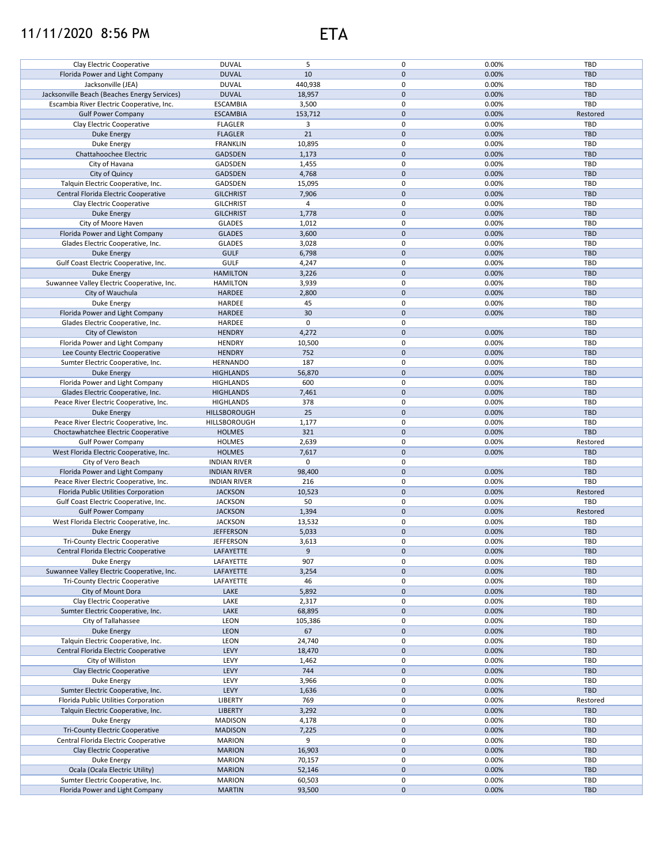## 11/11/2020 8:56 PM ETA



| Clay Electric Cooperative                                            | <b>DUVAL</b>                   | 5                | 0                   | 0.00%          | TBD               |
|----------------------------------------------------------------------|--------------------------------|------------------|---------------------|----------------|-------------------|
|                                                                      |                                |                  |                     |                |                   |
| Florida Power and Light Company                                      | <b>DUVAL</b>                   | 10               | 0                   | 0.00%          | <b>TBD</b>        |
| Jacksonville (JEA)                                                   | <b>DUVAL</b>                   | 440,938          | 0                   | 0.00%          | <b>TBD</b>        |
| Jacksonville Beach (Beaches Energy Services)                         | <b>DUVAL</b>                   | 18,957           | 0                   | 0.00%          | <b>TBD</b>        |
| Escambia River Electric Cooperative, Inc.                            | <b>ESCAMBIA</b>                | 3,500            | 0                   | 0.00%          | TBD               |
|                                                                      |                                |                  |                     |                |                   |
| <b>Gulf Power Company</b>                                            | <b>ESCAMBIA</b>                | 153,712          | $\mathbf 0$         | 0.00%          | Restored          |
| Clay Electric Cooperative                                            | <b>FLAGLER</b>                 | 3                | 0                   | 0.00%          | TBD               |
|                                                                      |                                | 21               |                     |                |                   |
| <b>Duke Energy</b>                                                   | <b>FLAGLER</b>                 |                  | $\pmb{0}$           | 0.00%          | <b>TBD</b>        |
| Duke Energy                                                          | <b>FRANKLIN</b>                | 10,895           | $\mathbf 0$         | 0.00%          | <b>TBD</b>        |
| Chattahoochee Electric                                               | <b>GADSDEN</b>                 | 1,173            | 0                   | 0.00%          | <b>TBD</b>        |
|                                                                      |                                |                  |                     |                |                   |
| City of Havana                                                       | GADSDEN                        | 1,455            | $\mathsf 0$         | 0.00%          | <b>TBD</b>        |
| City of Quincy                                                       | GADSDEN                        | 4,768            | $\mathbf 0$         | 0.00%          | <b>TBD</b>        |
| Talquin Electric Cooperative, Inc.                                   | GADSDEN                        | 15,095           | 0                   | 0.00%          | <b>TBD</b>        |
|                                                                      |                                |                  |                     |                |                   |
| Central Florida Electric Cooperative                                 | <b>GILCHRIST</b>               | 7,906            | $\mathbf 0$         | 0.00%          | <b>TBD</b>        |
| Clay Electric Cooperative                                            | <b>GILCHRIST</b>               | 4                | 0                   | 0.00%          | <b>TBD</b>        |
|                                                                      |                                | 1,778            | $\mathbf 0$         | 0.00%          | <b>TBD</b>        |
| <b>Duke Energy</b>                                                   | <b>GILCHRIST</b>               |                  |                     |                |                   |
| City of Moore Haven                                                  | <b>GLADES</b>                  | 1,012            | $\mathsf 0$         | 0.00%          | TBD               |
| Florida Power and Light Company                                      | <b>GLADES</b>                  | 3,600            | $\mathbf 0$         | 0.00%          | <b>TBD</b>        |
|                                                                      |                                |                  | $\pmb{0}$           |                |                   |
| Glades Electric Cooperative, Inc.                                    | <b>GLADES</b>                  | 3,028            |                     | 0.00%          | TBD               |
| <b>Duke Energy</b>                                                   | <b>GULF</b>                    | 6,798            | $\pmb{0}$           | 0.00%          | <b>TBD</b>        |
| Gulf Coast Electric Cooperative, Inc.                                | <b>GULF</b>                    | 4,247            | $\mathsf 0$         | 0.00%          | TBD               |
|                                                                      |                                |                  |                     |                |                   |
| <b>Duke Energy</b>                                                   | <b>HAMILTON</b>                | 3,226            | $\mathsf{O}\xspace$ | 0.00%          | <b>TBD</b>        |
| Suwannee Valley Electric Cooperative, Inc.                           | <b>HAMILTON</b>                | 3,939            | $\pmb{0}$           | 0.00%          | <b>TBD</b>        |
| City of Wauchula                                                     | <b>HARDEE</b>                  | 2,800            | $\mathbf 0$         | 0.00%          | <b>TBD</b>        |
|                                                                      |                                |                  |                     |                |                   |
| Duke Energy                                                          | HARDEE                         | 45               | 0                   | 0.00%          | <b>TBD</b>        |
| Florida Power and Light Company                                      | HARDEE                         | 30               | $\mathbf 0$         | 0.00%          | <b>TBD</b>        |
| Glades Electric Cooperative, Inc.                                    |                                | 0                | 0                   |                |                   |
|                                                                      | HARDEE                         |                  |                     |                | TBD               |
| City of Clewiston                                                    | <b>HENDRY</b>                  | 4,272            | $\mathbf 0$         | 0.00%          | <b>TBD</b>        |
| Florida Power and Light Company                                      | <b>HENDRY</b>                  | 10,500           | 0                   | 0.00%          | <b>TBD</b>        |
|                                                                      |                                |                  |                     |                |                   |
| Lee County Electric Cooperative                                      | <b>HENDRY</b>                  | 752              | $\mathbf{0}$        | 0.00%          | <b>TBD</b>        |
| Sumter Electric Cooperative, Inc.                                    | <b>HERNANDO</b>                | 187              | 0                   | 0.00%          | <b>TBD</b>        |
| <b>Duke Energy</b>                                                   | <b>HIGHLANDS</b>               | 56,870           | 0                   | 0.00%          | <b>TBD</b>        |
|                                                                      |                                |                  |                     |                |                   |
| Florida Power and Light Company                                      | <b>HIGHLANDS</b>               | 600              | $\mathsf 0$         | 0.00%          | TBD               |
| Glades Electric Cooperative, Inc.                                    | <b>HIGHLANDS</b>               | 7,461            | $\mathbf 0$         | 0.00%          | <b>TBD</b>        |
|                                                                      | <b>HIGHLANDS</b>               | 378              | 0                   | 0.00%          | TBD               |
| Peace River Electric Cooperative, Inc.                               |                                |                  |                     |                |                   |
| Duke Energy                                                          | HILLSBOROUGH                   | 25               | 0                   | 0.00%          | <b>TBD</b>        |
| Peace River Electric Cooperative, Inc.                               | HILLSBOROUGH                   | 1,177            | $\mathsf 0$         | 0.00%          | TBD               |
|                                                                      |                                |                  | $\mathbf 0$         | 0.00%          | <b>TBD</b>        |
| Choctawhatchee Electric Cooperative                                  | <b>HOLMES</b>                  | 321              |                     |                |                   |
| <b>Gulf Power Company</b>                                            | <b>HOLMES</b>                  | 2,639            | 0                   | 0.00%          | Restored          |
| West Florida Electric Cooperative, Inc.                              | <b>HOLMES</b>                  | 7,617            | $\mathbf 0$         | 0.00%          | <b>TBD</b>        |
|                                                                      |                                |                  |                     |                |                   |
| City of Vero Beach                                                   | <b>INDIAN RIVER</b>            | 0                | 0                   |                | <b>TBD</b>        |
| Florida Power and Light Company                                      | <b>INDIAN RIVER</b>            | 98,400           | $\mathbf 0$         | 0.00%          | <b>TBD</b>        |
| Peace River Electric Cooperative, Inc.                               | <b>INDIAN RIVER</b>            | 216              | 0                   | 0.00%          | TBD               |
|                                                                      |                                |                  |                     |                |                   |
| Florida Public Utilities Corporation                                 | <b>JACKSON</b>                 | 10,523           | $\mathsf{O}\xspace$ | 0.00%          | Restored          |
| Gulf Coast Electric Cooperative, Inc.                                | <b>JACKSON</b>                 | 50               | $\mathsf 0$         | 0.00%          | TBD               |
| <b>Gulf Power Company</b>                                            | <b>JACKSON</b>                 | 1,394            | $\mathsf{O}\xspace$ | 0.00%          | Restored          |
|                                                                      |                                |                  |                     |                |                   |
| West Florida Electric Cooperative, Inc.                              | <b>JACKSON</b>                 | 13,532           | 0                   | 0.00%          | TBD               |
| <b>Duke Energy</b>                                                   | <b>JEFFERSON</b>               | 5,033            | $\mathbf 0$         | 0.00%          | <b>TBD</b>        |
|                                                                      |                                |                  |                     |                |                   |
| Tri-County Electric Cooperative                                      | <b>JEFFERSON</b>               | 3,613            | 0                   | 0.00%          | TBD               |
| Central Florida Electric Cooperative                                 | LAFAYETTE                      | 9                | $\pmb{0}$           | 0.00%          | TBD               |
| Duke Energy                                                          | LAFAYETTE                      | 907              | 0                   | 0.00%          | TBD               |
|                                                                      |                                |                  |                     |                |                   |
| Suwannee Valley Electric Cooperative, Inc.                           | LAFAYETTE                      | 3,254            | 0                   | 0.00%          | TBD               |
| <b>Tri-County Electric Cooperative</b>                               | LAFAYETTE                      | 46               | 0                   | 0.00%          | <b>TBD</b>        |
| City of Mount Dora                                                   | LAKE                           | 5,892            | 0                   | 0.00%          | <b>TBD</b>        |
|                                                                      |                                |                  |                     |                |                   |
| Clay Electric Cooperative                                            | LAKE                           | 2,317            | 0                   | 0.00%          | <b>TBD</b>        |
| Sumter Electric Cooperative, Inc.                                    | LAKE                           | 68,895           | 0                   | 0.00%          | TBD               |
| City of Tallahassee                                                  | LEON                           |                  | 0                   | 0.00%          | TBD               |
|                                                                      |                                | 105,386          |                     |                |                   |
| <b>Duke Energy</b>                                                   | <b>LEON</b>                    | 67               | 0                   | 0.00%          | <b>TBD</b>        |
| Talquin Electric Cooperative, Inc.                                   | LEON                           | 24,740           | 0                   | 0.00%          | TBD               |
|                                                                      |                                |                  | 0                   |                |                   |
| Central Florida Electric Cooperative                                 |                                |                  |                     |                |                   |
| City of Williston                                                    | LEVY                           | 18,470           |                     | 0.00%          | <b>TBD</b>        |
|                                                                      | LEVY                           | 1,462            | 0                   | 0.00%          | TBD               |
|                                                                      |                                |                  |                     |                |                   |
| Clay Electric Cooperative                                            | LEVY                           | 744              | 0                   | 0.00%          | <b>TBD</b>        |
| Duke Energy                                                          | LEVY                           | 3,966            | 0                   | 0.00%          | TBD               |
| Sumter Electric Cooperative, Inc.                                    | LEVY                           | 1,636            | 0                   | 0.00%          | <b>TBD</b>        |
|                                                                      |                                |                  |                     |                |                   |
| Florida Public Utilities Corporation                                 | LIBERTY                        | 769              | 0                   | 0.00%          | Restored          |
| Talquin Electric Cooperative, Inc.                                   | <b>LIBERTY</b>                 | 3,292            | $\mathsf{O}\xspace$ | 0.00%          | <b>TBD</b>        |
| Duke Energy                                                          | <b>MADISON</b>                 | 4,178            | 0                   | 0.00%          | TBD               |
|                                                                      |                                |                  |                     |                |                   |
| Tri-County Electric Cooperative                                      | <b>MADISON</b>                 | 7,225            | 0                   | 0.00%          | <b>TBD</b>        |
| Central Florida Electric Cooperative                                 | <b>MARION</b>                  | 9                | 0                   | 0.00%          | TBD               |
|                                                                      |                                |                  |                     |                |                   |
| Clay Electric Cooperative                                            | <b>MARION</b>                  | 16,903           | 0                   | 0.00%          | <b>TBD</b>        |
| Duke Energy                                                          | <b>MARION</b>                  | 70,157           | 0                   | 0.00%          | TBD               |
| Ocala (Ocala Electric Utility)                                       | <b>MARION</b>                  | 52,146           | 0                   | 0.00%          | <b>TBD</b>        |
|                                                                      |                                |                  |                     |                |                   |
| Sumter Electric Cooperative, Inc.<br>Florida Power and Light Company | <b>MARION</b><br><b>MARTIN</b> | 60,503<br>93,500 | 0<br>0              | 0.00%<br>0.00% | TBD<br><b>TBD</b> |